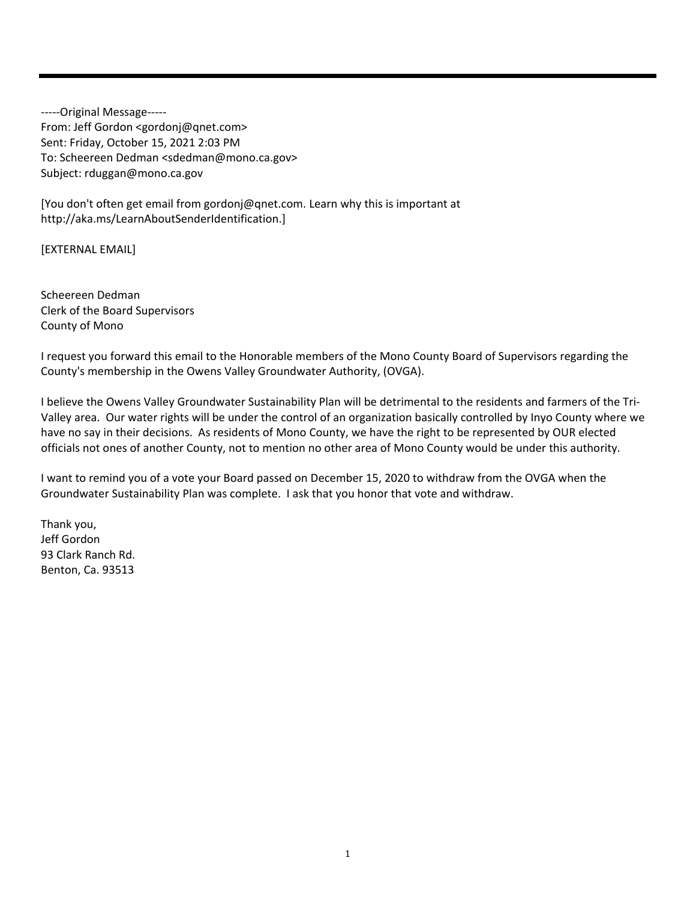‐‐‐‐‐Original Message‐‐‐‐‐ From: Jeff Gordon <gordonj@qnet.com> Sent: Friday, October 15, 2021 2:03 PM To: Scheereen Dedman <sdedman@mono.ca.gov> Subject: rduggan@mono.ca.gov

[You don't often get email from gordonj@qnet.com. Learn why this is important at http://aka.ms/LearnAboutSenderIdentification.]

[EXTERNAL EMAIL]

Scheereen Dedman Clerk of the Board Supervisors County of Mono

I request you forward this email to the Honorable members of the Mono County Board of Supervisors regarding the County's membership in the Owens Valley Groundwater Authority, (OVGA).

I believe the Owens Valley Groundwater Sustainability Plan will be detrimental to the residents and farmers of the Tri‐ Valley area. Our water rights will be under the control of an organization basically controlled by Inyo County where we have no say in their decisions. As residents of Mono County, we have the right to be represented by OUR elected officials not ones of another County, not to mention no other area of Mono County would be under this authority.

I want to remind you of a vote your Board passed on December 15, 2020 to withdraw from the OVGA when the Groundwater Sustainability Plan was complete. I ask that you honor that vote and withdraw.

Thank you, Jeff Gordon 93 Clark Ranch Rd. Benton, Ca. 93513